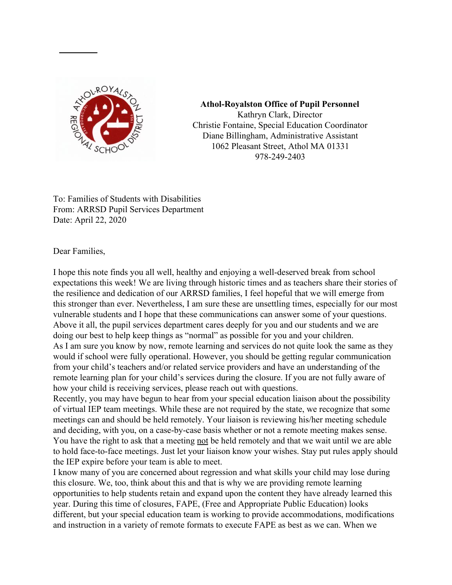

**Athol-Royalston Office of Pupil Personnel** Kathryn Clark, Director Christie Fontaine, Special Education Coordinator Diane Billingham, Administrative Assistant 1062 Pleasant Street, Athol MA 01331 978-249-2403

To: Families of Students with Disabilities From: ARRSD Pupil Services Department Date: April 22, 2020

Dear Families,

I hope this note finds you all well, healthy and enjoying a well-deserved break from school expectations this week! We are living through historic times and as teachers share their stories of the resilience and dedication of our ARRSD families, I feel hopeful that we will emerge from this stronger than ever. Nevertheless, I am sure these are unsettling times, especially for our most vulnerable students and I hope that these communications can answer some of your questions. Above it all, the pupil services department cares deeply for you and our students and we are doing our best to help keep things as "normal" as possible for you and your children. As I am sure you know by now, remote learning and services do not quite look the same as they would if school were fully operational. However, you should be getting regular communication from your child's teachers and/or related service providers and have an understanding of the remote learning plan for your child's services during the closure. If you are not fully aware of how your child is receiving services, please reach out with questions.

Recently, you may have begun to hear from your special education liaison about the possibility of virtual IEP team meetings. While these are not required by the state, we recognize that some meetings can and should be held remotely. Your liaison is reviewing his/her meeting schedule and deciding, with you, on a case-by-case basis whether or not a remote meeting makes sense. You have the right to ask that a meeting not be held remotely and that we wait until we are able to hold face-to-face meetings. Just let your liaison know your wishes. Stay put rules apply should the IEP expire before your team is able to meet.

I know many of you are concerned about regression and what skills your child may lose during this closure. We, too, think about this and that is why we are providing remote learning opportunities to help students retain and expand upon the content they have already learned this year. During this time of closures, FAPE, (Free and Appropriate Public Education) looks different, but your special education team is working to provide accommodations, modifications and instruction in a variety of remote formats to execute FAPE as best as we can. When we